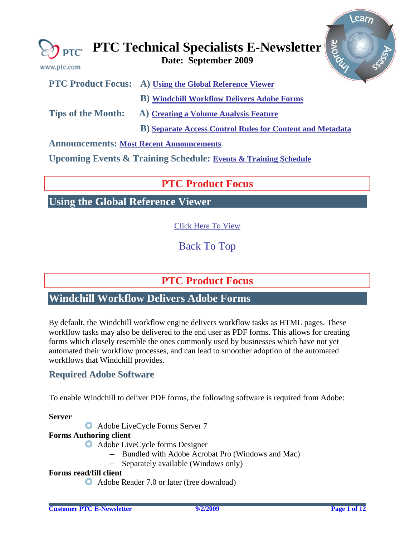<span id="page-0-0"></span>

| www.ptc.com                                     | grove<br>$\bigotimes_{\mathsf{PTC}}$ PTC Technical Specialists E-Newsletter |
|-------------------------------------------------|-----------------------------------------------------------------------------|
|                                                 | <b>PTC Product Focus:</b> A) Using the Global Reference Viewer              |
|                                                 | <b>B)</b> Windchill Workflow Delivers Adobe Forms                           |
| <b>Tips of the Month:</b>                       | A) Creating a Volume Analysis Feature                                       |
|                                                 | <b>B)</b> Separate Access Control Rules for Content and Metadata            |
| <b>Announcements: Most Recent Announcements</b> |                                                                             |

**Upcoming Events & Training Schedule: [Events & Training Schedule](#page-10-0)**

# **PTC Product Focus**

**Using the Global Reference Viewer** 

[Click Here To View](http://members.shaw.ca/jpeng/newsletter/PTC_Technical_Specialists_E-Newsletter_2009_09_desktop.pdf)

[Back To Top](#page-0-0)

**PTC Product Focus** 

# **Windchill Workflow Delivers Adobe Forms**

By default, the Windchill workflow engine delivers workflow tasks as HTML pages. These workflow tasks may also be delivered to the end user as PDF forms. This allows for creating forms which closely resemble the ones commonly used by businesses which have not yet automated their workflow processes, and can lead to smoother adoption of the automated workflows that Windchill provides.

# **Required Adobe Software**

To enable Windchill to deliver PDF forms, the following software is required from Adobe:

**Server**

Adobe LiveCycle Forms Server 7

## **Forms Authoring client**

- Adobe LiveCycle forms Designer
	- Bundled with Adobe Acrobat Pro (Windows and Mac)
	- Separately available (Windows only)

## **Forms read/fill client**

Adobe Reader 7.0 or later (free download)

Learn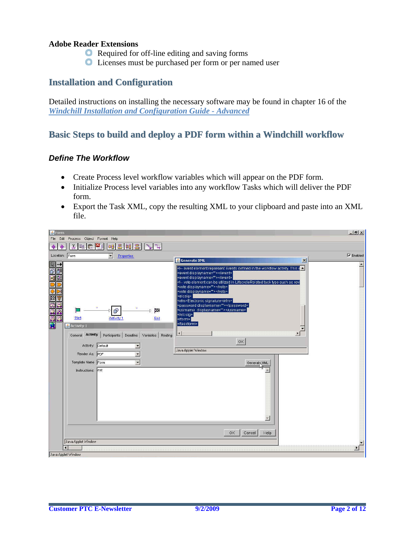### **Adobe Reader Extensions**

- Required for off-line editing and saving forms
- Licenses must be purchased per form or per named user

# **Installation and Configuration**

Detailed instructions on installing the necessary software may be found in chapter 16 of the *[Windchill Installation and Configuration Guide - Advanced](http://www.ptc.com/appserver/wcms/standards/fileothumbredirect.jsp?im_dbkey=77025&icg_dbkey=522)*

# **Basic Steps to build and deploy a PDF form within a Windchill workflow**

### *Define The Workflow*

- Create Process level workflow variables which will appear on the PDF form.
- Initialize Process level variables into any workflow Tasks which will deliver the PDF form.
- Export the Task XML, copy the resulting XML to your clipboard and paste into an XML file.

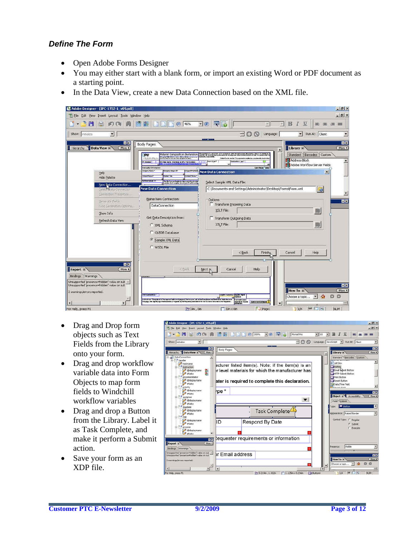## *Define The Form*

- Open Adobe Forms Designer
- You may either start with a blank form, or import an existing Word or PDF document as a starting point.
- In the Data View, create a new Data Connection based on the XML file.



- Drag and Drop form objects such as Text Fields from the Library onto your form.
- Drag and drop workflow variable data into Form Objects to map form fields to Windchill workflow variables
- Drag and drop a Button from the Library. Label it as Task Complete, and make it perform a Submit action.
- Save your form as an XDP file.

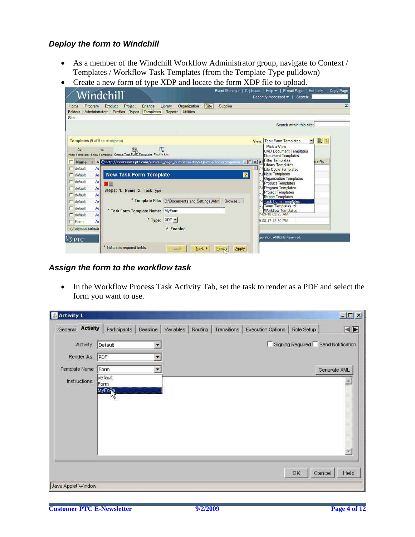## *Deploy the form to Windchill*

- As a member of the Windchill Workflow Administrator group, navigate to Context / Templates / Workflow Task Templates (from the Template Type pulldown)
- Create a new form of type XDP and locate the form XDP file to upload.

| Home<br>Program<br>Folders                                                                                            | Windchill<br>Product<br>Project<br>Change<br>Administrators Profiles<br>Types<br><b>Templates</b>            | Event Manager 1<br>Site<br>Supplier<br>Library<br>Organization<br><b>Reports</b><br><b>Utilities</b> | Clipboard   Help >   E-mail Page   Hot Links   Copy Page<br>Recently Accessed v   Search:<br>ᄎ                                                                                                                                                                                                                         |
|-----------------------------------------------------------------------------------------------------------------------|--------------------------------------------------------------------------------------------------------------|------------------------------------------------------------------------------------------------------|------------------------------------------------------------------------------------------------------------------------------------------------------------------------------------------------------------------------------------------------------------------------------------------------------------------------|
| Site                                                                                                                  |                                                                                                              |                                                                                                      | Search within this site:                                                                                                                                                                                                                                                                                               |
| Templates (9 of 9 total objects)<br>$\lambda$<br>Name<br>$\Gamma$ default<br>A<br>A<br>$\Box$ detault                 | 眼<br>H<br>Hide Template Show Template Create Task For Template Find in List<br><b>New Task Form Template</b> | A Chttp://icenterv01.ptc.com/?unique_page_number=4086&AjaxEnabled=componen E D X ;<br>$\overline{2}$ | ■ 2<br><b>Task Form Templates</b><br>$\overline{\phantom{a}}$<br><b>View</b><br>- Pick a View -<br><b>CAD Document Templates</b><br><b>Document Templates</b><br><b>Filter Templates</b><br>ot By<br><b>Library Templates</b><br><b>Life Cycle Templates</b><br><b>Note Templates</b><br><b>Organization Templates</b> |
| At<br>$\Gamma$ default<br>A<br>$\Gamma$ default<br>A <sub>t</sub><br>$\Gamma$ default                                 | u il<br>Steps: 1. Name 2. Task Type                                                                          |                                                                                                      | <b>Product Templates</b><br><b>Program Templates</b><br><b>Project Templates</b><br><b>Report Templates</b>                                                                                                                                                                                                            |
| <b>T</b> default<br>A <sub>t</sub><br>A<br>$\Box$ default<br>A<br><b>F</b> default<br><b>F</b> Form<br>A <sub>0</sub> | * Task Form Template Name: MyForm                                                                            | <sup>*</sup> Template File: C:\Documents and Settings\Adm Browse<br>* Type: XDP *                    | <b>Task Form Templates</b><br>Team Templates VS<br><b>Workflow Templates</b><br>-09-10 09:23 AM<br>9-08-17 12:30 PM                                                                                                                                                                                                    |
| (0 objects selecte<br>と)PTC                                                                                           |                                                                                                              | <b>Enabled</b><br>⊽                                                                                  | rporation. All Rights Reserved.                                                                                                                                                                                                                                                                                        |
|                                                                                                                       | Indicates required fields.                                                                                   | Back<br>Next ><br>Einish-<br><b>Apply</b>                                                            |                                                                                                                                                                                                                                                                                                                        |

*Assign the form to the workflow task* 

• In the Workflow Process Task Activity Tab, set the task to render as a PDF and select the form you want to use.

| Activity 1                 |                    |                         |           |         |             |                          |            | $-10 \times$                       |
|----------------------------|--------------------|-------------------------|-----------|---------|-------------|--------------------------|------------|------------------------------------|
| <b>Activity</b><br>General | Participants       | Deadline                | Variables | Routing | Transitions | <b>Execution Options</b> | Role Setup | O                                  |
| Activity: Default          |                    | $\blacktriangledown$    |           |         |             |                          |            | Signing Required Send Notification |
| Render As: PDF             |                    | $\overline{\mathbf{r}}$ |           |         |             |                          |            |                                    |
| Template Name              | Form               |                         |           |         |             |                          |            | Generate XML                       |
| Instructions:              | default<br>Form    |                         |           |         |             |                          |            |                                    |
|                            | <b>MyFoRn</b><br>W |                         |           |         |             |                          |            |                                    |
|                            |                    |                         |           |         |             |                          |            |                                    |
|                            |                    |                         |           |         |             |                          |            |                                    |
|                            |                    |                         |           |         |             |                          |            |                                    |
|                            |                    |                         |           |         |             |                          |            |                                    |
|                            |                    |                         |           |         |             |                          |            |                                    |
|                            |                    |                         |           |         |             |                          | OK         | Cancel<br>Help                     |
|                            |                    |                         |           |         |             |                          |            |                                    |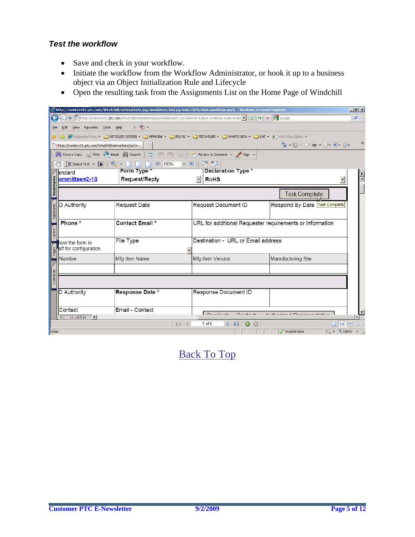## *Test the workflow*

- Save and check in your workflow.
- Initiate the workflow from the Workflow Administrator, or hook it up to a business object via an Object Initialization Rule and Lifecycle
- Open the resulting task from the Assignments List on the Home Page of Windchill

|                 |                                                                                                       |                                     | http://icenterv01.ptc.com/Windchill/netmarkets/jsp/workitem/info.jsp?oid=OR%3Awt.workflow.work. - Windows Internet Explorer |                                                                                                                                                                                                                                                                                                                                                     | $ P$ $\times$ |
|-----------------|-------------------------------------------------------------------------------------------------------|-------------------------------------|-----------------------------------------------------------------------------------------------------------------------------|-----------------------------------------------------------------------------------------------------------------------------------------------------------------------------------------------------------------------------------------------------------------------------------------------------------------------------------------------------|---------------|
|                 |                                                                                                       |                                     | Dhttp://icenterv01.ptc.com/Windchill/netmarkets/jsp/workitem/info.jsp?oid=OR%3Awt.work1ow.work.Work1 - 2 4 3 4 X 3 Google   |                                                                                                                                                                                                                                                                                                                                                     | $\rho$ .      |
|                 | Edit View Favorites Tools Help                                                                        | $x - 1$                             |                                                                                                                             |                                                                                                                                                                                                                                                                                                                                                     |               |
|                 |                                                                                                       |                                     | Suggested Sites * DETAILED DESIGN * DIMPMLINK * DIPDS SC * DITECH PUBS * DIMHATS NEW * DEHT * @   Web Sike Gallery *        |                                                                                                                                                                                                                                                                                                                                                     |               |
|                 | http://icenterv01.ptc.com/Windchill/netmarkets/jsp/w                                                  |                                     |                                                                                                                             | $\begin{picture}(100,10) \put(0,0){\line(1,0){10}} \put(10,0){\line(1,0){10}} \put(10,0){\line(1,0){10}} \put(10,0){\line(1,0){10}} \put(10,0){\line(1,0){10}} \put(10,0){\line(1,0){10}} \put(10,0){\line(1,0){10}} \put(10,0){\line(1,0){10}} \put(10,0){\line(1,0){10}} \put(10,0){\line(1,0){10}} \put(10,0){\line(1,0){10}} \put(10,0){\line($ |               |
|                 |                                                                                                       | Review & Comment + Sign +           |                                                                                                                             |                                                                                                                                                                                                                                                                                                                                                     |               |
|                 | $\boxed{\mathbf{T}}$ Select Text $\mathbf{\cdot}$ $\boxed{\bullet}$ $\mathbf{\cdot}$ $\mathbf{\cdot}$ | $-150%$<br>$\bullet$ $\bullet$<br>m | $D^*$ f <sub>D</sub>                                                                                                        |                                                                                                                                                                                                                                                                                                                                                     |               |
| andard          |                                                                                                       | Form Type *                         | Declaration Type *                                                                                                          |                                                                                                                                                                                                                                                                                                                                                     |               |
|                 | ommittee=2-18                                                                                         | Request/Reply                       | <b>RoHS</b>                                                                                                                 |                                                                                                                                                                                                                                                                                                                                                     |               |
|                 |                                                                                                       |                                     |                                                                                                                             |                                                                                                                                                                                                                                                                                                                                                     |               |
|                 |                                                                                                       |                                     |                                                                                                                             | <b>Task Complete</b>                                                                                                                                                                                                                                                                                                                                |               |
| D Authority     |                                                                                                       | <b>Request Date</b>                 | Request Document ID                                                                                                         | Respond By Date Task Complete                                                                                                                                                                                                                                                                                                                       |               |
| Signatures      |                                                                                                       |                                     |                                                                                                                             |                                                                                                                                                                                                                                                                                                                                                     |               |
| Phone *         |                                                                                                       | Contact Email *                     | URL for additional Requester requirements or information                                                                    |                                                                                                                                                                                                                                                                                                                                                     |               |
| Layers          |                                                                                                       |                                     |                                                                                                                             |                                                                                                                                                                                                                                                                                                                                                     |               |
| how the form is |                                                                                                       | File Type                           | Destination - URL or Email address                                                                                          |                                                                                                                                                                                                                                                                                                                                                     |               |
|                 | aff for configuration.                                                                                |                                     |                                                                                                                             |                                                                                                                                                                                                                                                                                                                                                     |               |
| Number          |                                                                                                       | Mfg Item Name                       | Mfg Item Version                                                                                                            | Manufacturing Site                                                                                                                                                                                                                                                                                                                                  |               |
|                 |                                                                                                       |                                     |                                                                                                                             |                                                                                                                                                                                                                                                                                                                                                     |               |
| Comments        |                                                                                                       |                                     |                                                                                                                             |                                                                                                                                                                                                                                                                                                                                                     |               |
|                 |                                                                                                       |                                     |                                                                                                                             |                                                                                                                                                                                                                                                                                                                                                     |               |
| D Authority     |                                                                                                       | Response Date *                     | Response Document ID                                                                                                        |                                                                                                                                                                                                                                                                                                                                                     |               |
|                 |                                                                                                       |                                     |                                                                                                                             |                                                                                                                                                                                                                                                                                                                                                     |               |
| Contact         |                                                                                                       | Email - Contact                     |                                                                                                                             |                                                                                                                                                                                                                                                                                                                                                     |               |
|                 | $11 \times 8.5$ in<br>$\vert \vert$                                                                   | 14.4                                | $1$ of $5$                                                                                                                  | <b>THA</b>                                                                                                                                                                                                                                                                                                                                          |               |
| Done            |                                                                                                       |                                     |                                                                                                                             | 4 ★ 100% ★ 2<br>Trusted sites                                                                                                                                                                                                                                                                                                                       |               |
|                 |                                                                                                       |                                     |                                                                                                                             |                                                                                                                                                                                                                                                                                                                                                     |               |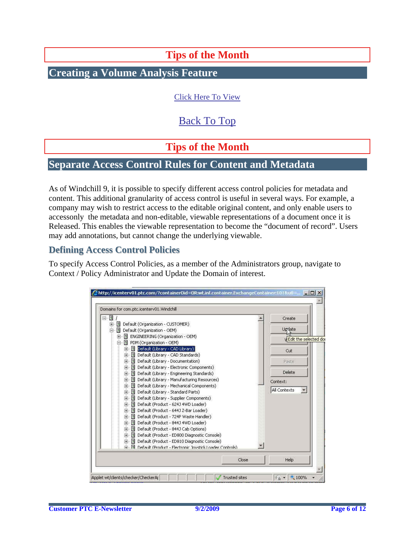**Tips of the Month** 

<span id="page-5-0"></span>**Creating a Volume Analysis Feature** 

[Click Here To View](http://members.shaw.ca/jpeng/newsletter/PTC_Technical_Specialists_E-Newsletter_2009_09_desktop.pdf)

# [Back To Top](#page-0-0)

**Tips of the Month** 

# **Separate Access Control Rules for Content and Metadata**

As of Windchill 9, it is possible to specify different access control policies for metadata and content. This additional granularity of access control is useful in several ways. For example, a company may wish to restrict access to the editable original content, and only enable users to accessonly the metadata and non-editable, viewable representations of a document once it is Released. This enables the viewable representation to become the "document of record". Users may add annotations, but cannot change the underlying viewable.

## **Defining Access Control Policies**

To specify Access Control Policies, as a member of the Administrators group, navigate to Context / Policy Administrator and Update the Domain of interest.

| Domains for com.ptc.icenterv01.Windchill                                                |          |                              |  |
|-----------------------------------------------------------------------------------------|----------|------------------------------|--|
| 8 I /                                                                                   |          | Create                       |  |
| - 15<br>Default (Organization - CUSTOMER)<br>田                                          |          | Update                       |  |
| ы<br>国<br>Default (Organization - OEM)                                                  |          |                              |  |
| El ENGINEERING (Organization - OEM)<br>田…                                               |          | <b>WEdit the selected do</b> |  |
| 탈 PDM (Organization - OEM)<br>F.                                                        |          |                              |  |
| Default (Library - CAD Library)<br>田                                                    |          | Cut                          |  |
| 田 Default (Library - CAD Standards)                                                     |          |                              |  |
| Default (Library - Documentation)<br>田<br>田 图 Default (Library - Electronic Components) |          | Paste                        |  |
| • 미 Default (Library - Engineering Standards)<br>田                                      | Delete   |                              |  |
| 田 图 Default (Library - Manufacturing Resources)                                         |          |                              |  |
| 田 图 Default (Library - Mechanical Components)                                           | Context: |                              |  |
| Default (Library - Standard Parts)<br>田                                                 |          | All Contexts                 |  |
| 네 Default (Library - Supplier Components)<br>田                                          |          |                              |  |
| 田 国 Default (Product - 624J 4WD Loader)                                                 |          |                              |  |
| Default (Product - 644J Z-Bar Loader)<br>围                                              |          |                              |  |
| ы<br>Default (Product - 724P Waste Handler)<br>田                                        |          |                              |  |
| Default (Product - 844J 4WD Loader)<br>田                                                |          |                              |  |
| 田 图 Default (Product - 844J Cab Options)                                                |          |                              |  |
| 田 国 Default (Product - ED800 Diagnostic Console)                                        |          |                              |  |
| 图 Default (Product - ED810 Diagnostic Console)<br>田                                     |          |                              |  |
| 中国 Default (Product - Electronic Joystick Loader Controls)                              |          |                              |  |
|                                                                                         |          |                              |  |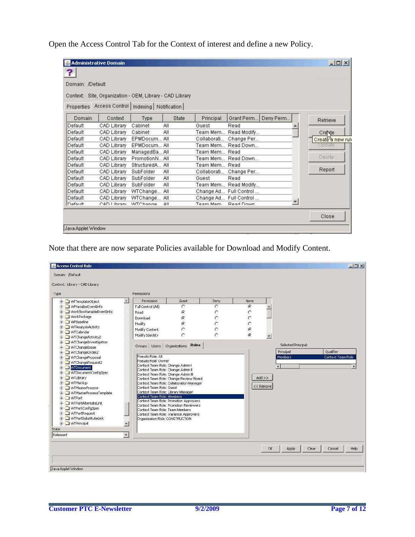Open the Access Control Tab for the Context of interest and define a new Policy.

| Domain: /Default |             |                                                          |       |               |                        |           |                  |
|------------------|-------------|----------------------------------------------------------|-------|---------------|------------------------|-----------|------------------|
|                  |             |                                                          |       |               |                        |           |                  |
|                  |             | Context: Site, Organization - OEM, Library - CAD Library |       |               |                        |           |                  |
|                  |             | Properties Access Control   Indexing   Notification      |       |               |                        |           |                  |
| Domain           | Context     | Type                                                     | State | Principal     | Grant Perm             | Deny Perm | Retrieve         |
| Default          | CAD Library | Cabinet                                                  | All   | Guest         | Read                   |           |                  |
| Default          | CAD Library | Cabinet                                                  | All   |               | Team Mem Read Modify   |           | Creste           |
| Default          | CAD Library | EPMDocum All                                             |       |               | Collaborati Change Per |           | Creaté a new ruh |
| Default          | CAD Library | EPMDocum All                                             |       |               | Team Mem Read Down     |           | Update           |
| Default          | CAD Library | ManagedBa All                                            |       | Team Mem Read |                        |           |                  |
| Default          | CAD Library | PromotionN All                                           |       |               | Team Mem Read Down     |           | Delete:          |
| Default          | CAD Library | StructuredA All                                          |       | Team Mem Read |                        |           |                  |
| Default          | CAD Library | SubFolder                                                | All   |               | Collaborati Change Per |           | Report           |
| Default          | CAD Library | SubFolder                                                | All   | Guest         | Read                   |           |                  |
| Default          | CAD Library | <b>SubFolder</b>                                         | All   |               | Team Mem Read Modify   |           |                  |
| Default          | CAD Library | WTChange All                                             |       |               | Change Ad Full Control |           |                  |
| Default          | CAD Library | WTChange All                                             |       |               | Change Ad Full Control |           |                  |
| noforth          | CAD Library | MCChange                                                 | 2H    | Toam Mam      | Read Down              |           |                  |

Note that there are now separate Policies available for Download and Modify Content.

| <b>Access Control Rule</b><br>Domain: /Default        |                         |                            |                                                                                  |                |                   | $  D $ $\times$                         |
|-------------------------------------------------------|-------------------------|----------------------------|----------------------------------------------------------------------------------|----------------|-------------------|-----------------------------------------|
| Context: Library - CAD Library                        |                         |                            |                                                                                  |                |                   |                                         |
| Type                                                  |                         | Permissions                |                                                                                  |                |                   |                                         |
| WfTemplateObject                                      | $\blacktriangle$        | Permission                 | Grant                                                                            | Deny.          | None              |                                         |
| The Will William Wariable EventInfo                   |                         | Full Control (All)         | $\subset$                                                                        | $\circ$        | G                 |                                         |
| <b>Fig. 1</b> WorkflowVariableEventInfo               |                         | Read                       | $\epsilon$                                                                       | C              | C                 |                                         |
| E WorkPackage                                         |                         | Download                   | G                                                                                | Č              | Ċ                 |                                         |
| <b>E</b> WPBaseline                                   |                         | Modify                     | G.                                                                               | $\overline{C}$ | Ċ                 |                                         |
| <b>E</b> WTAnalysisActivity                           |                         | Modify Content             | C                                                                                | Ċ              | G                 |                                         |
| <b>F</b> WTCalendar                                   |                         | Modify Identity            | Ò                                                                                |                | Ğ<br>$\pmb{\tau}$ |                                         |
| F MTChangeActivity2<br><b>E</b> WTChangeInvestigation |                         |                            |                                                                                  |                |                   |                                         |
| <b>El</b> WTChangeIssue                               |                         | <b>Users</b><br>Groups     | <b>Roles</b><br>Organizations                                                    |                |                   | Selected Principal:                     |
| <b>E</b> WTChangeOrder2                               |                         |                            |                                                                                  |                |                   | Principal<br>Qualifier                  |
| <b>El</b> WTChangeProposal                            |                         | Pseudo Role: All           |                                                                                  |                |                   | <b>Members</b><br>Context Team Role     |
| <b>E</b> WTChangeRequest2                             |                         | Pseudo Role: Owner         | Context Team Role: Change Admin I                                                |                |                   |                                         |
| <b>WTDocument</b><br>宙                                |                         |                            | Context Team Role: Change Admin II                                               |                |                   | ¥                                       |
| WTDocumentConfigSpec                                  |                         |                            | Context Team Role: Change Admin III                                              |                |                   |                                         |
| <b>E</b> WTLibrary                                    |                         |                            | Context Team Role: Change Review Board                                           |                | Add >>            |                                         |
| <b>FF</b> WTMarkUp                                    |                         |                            | Context Team Role: Collaboration Manager                                         |                |                   |                                         |
| WTMasterProcess<br>田                                  |                         | Context Team Role: Guest   |                                                                                  |                | $<<$ Remove       |                                         |
| WTMasterProcessTemplate<br>田                          |                         |                            | Context Team Role: Library Manager                                               |                |                   |                                         |
| <b>E</b> WTPart                                       |                         | Context Team Role: Members |                                                                                  |                |                   |                                         |
| <b>E</b> WTPartAlternateLink                          |                         |                            | Context Team Role: Promotion Approvers<br>Context Team Role: Promotion Reviewers |                |                   |                                         |
| WTPartConfigSpec                                      |                         |                            | Context Team Role: Team Members                                                  |                |                   |                                         |
| <b>E</b> WTPartRequest                                |                         |                            | Context Team Role: Variance Approvers                                            |                |                   |                                         |
| WTPartSubstituteLink<br>田                             |                         |                            | Organization Role: CONSTRUCTION                                                  |                |                   |                                         |
| <b>E</b> WTPrincipal                                  | $\pmb{\mathsf{v}}$      |                            |                                                                                  |                |                   |                                         |
| State                                                 |                         |                            |                                                                                  |                |                   |                                         |
| Released                                              | $\overline{\mathbf{y}}$ |                            |                                                                                  |                |                   |                                         |
|                                                       |                         |                            |                                                                                  |                |                   |                                         |
|                                                       |                         |                            |                                                                                  |                |                   | Clear<br>Help<br>OK.<br>Apply<br>Cancel |
|                                                       |                         |                            |                                                                                  |                |                   |                                         |
|                                                       |                         |                            |                                                                                  |                |                   |                                         |
|                                                       |                         |                            |                                                                                  |                |                   |                                         |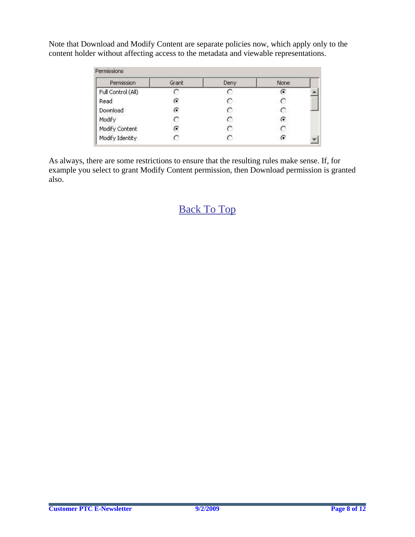Note that Download and Modify Content are separate policies now, which apply only to the content holder without affecting access to the metadata and viewable representations.

| Permission         | Grant | Deny | None |  |
|--------------------|-------|------|------|--|
| Full Control (All) |       |      | G    |  |
| Read               |       | C.   |      |  |
| Download           | G     |      |      |  |
| Modify             |       | O    | G    |  |
| Modify Content     | r.    | o    |      |  |
| Modify Identity    |       | €    | G    |  |

As always, there are some restrictions to ensure that the resulting rules make sense. If, for example you select to grant Modify Content permission, then Download permission is granted also.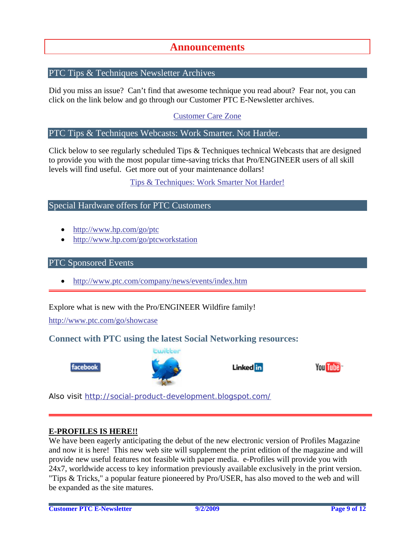# **Announcements**

## <span id="page-8-0"></span>PTC Tips & Techniques Newsletter Archives

Did you miss an issue? Can't find that awesome technique you read about? Fear not, you can click on the link below and go through our Customer PTC E-Newsletter archives.

[Customer Care Zone](http://www.ptc.com/carezone/)

#### PTC Tips & Techniques Webcasts: Work Smarter. Not Harder.

Click below to see regularly scheduled Tips & Techniques technical Webcasts that are designed to provide you with the most popular time-saving tricks that Pro/ENGINEER users of all skill levels will find useful. Get more out of your maintenance dollars!

### [Tips & Techniques: Work Smarter Not Harder!](http://www.ptc.com/appserver/it/icm/cda/template_lib/events/series.jsp?&im_dbkey=11442&icg_dbkey=141)

### Special Hardware offers for PTC Customers

- <http://www.hp.com/go/ptc>
- <http://www.hp.com/go/ptcworkstation>

#### PTC Sponsored Events

• http://www.ptc.com/company/news/events/index.htm

Explore what is new with the Pro/ENGINEER Wildfire family!

<http://www.ptc.com/go/showcase>

## **Connect with PTC using the latest Social Networking resources:**





## Linked in



Also visit<http://social-product-development.blogspot.com/>

#### **E-PROFILES IS HERE!!**

We have been eagerly anticipating the debut of the new electronic version of Profiles Magazine and now it is here! This new web site will supplement the print edition of the magazine and will provide new useful features not feasible with paper media. e-Profiles will provide you with 24x7, worldwide access to key information previously available exclusively in the print version. "Tips & Tricks," a popular feature pioneered by Pro/USER, has also moved to the web and will be expanded as the site matures.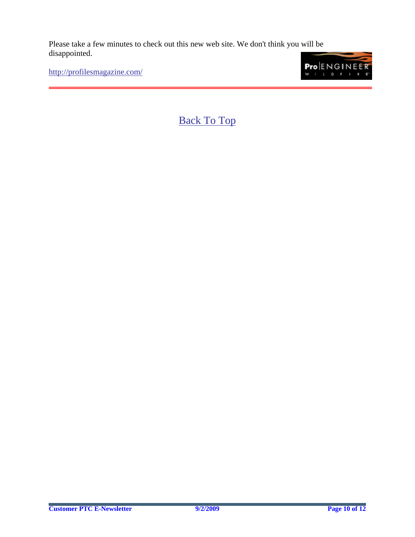Please take a few minutes to check out this new web site. We don't think you will be disappointed.

<http://profilesmagazine.com/>

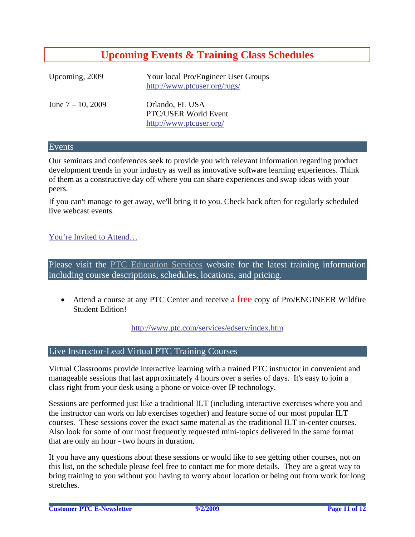# **Upcoming Events & Training Class Schedules**

<span id="page-10-0"></span>

| Upcoming, 2009       | Your local Pro/Engineer User Groups<br>http://www.ptcuser.org/rugs/ |
|----------------------|---------------------------------------------------------------------|
| June $7 - 10$ , 2009 | Orlando, FL USA<br>PTC/USER World Event<br>http://www.ptcuser.org/  |

#### Events

Our seminars and conferences seek to provide you with relevant information regarding product development trends in your industry as well as innovative software learning experiences. Think of them as a constructive day off where you can share experiences and swap ideas with your peers.

If you can't manage to get away, we'll bring it to you. Check back often for regularly scheduled live webcast events.

### [You're Invited to Attend…](http://www.ptc.com/company/news/events/index.htm)

Please visit the [PTC Education Services](http://www.ptc.com/services/edserv/) website for the latest training information including course descriptions, schedules, locations, and pricing.

• Attend a course at any PTC Center and receive a free copy of Pro/ENGINEER Wildfire Student Edition!

<http://www.ptc.com/services/edserv/index.htm>

### Live Instructor-Lead Virtual PTC Training Courses

Virtual Classrooms provide interactive learning with a trained PTC instructor in convenient and manageable sessions that last approximately 4 hours over a series of days. It's easy to join a class right from your desk using a phone or voice-over IP technology.

Sessions are performed just like a traditional ILT (including interactive exercises where you and the instructor can work on lab exercises together) and feature some of our most popular ILT courses. These sessions cover the exact same material as the traditional ILT in-center courses. Also look for some of our most frequently requested mini-topics delivered in the same format that are only an hour - two hours in duration.

If you have any questions about these sessions or would like to see getting other courses, not on this list, on the schedule please feel free to contact me for more details. They are a great way to bring training to you without you having to worry about location or being out from work for long stretches.